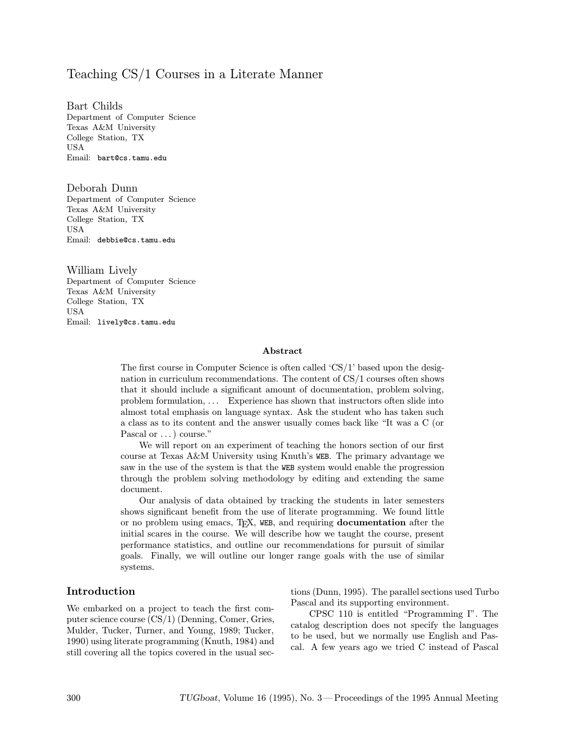## Teaching CS/1 Courses in a Literate Manner

Bart Childs Department of Computer Science Texas A&M University College Station, TX USA Email: bart@cs.tamu.edu

Deborah Dunn Department of Computer Science Texas A&M University College Station, TX USA Email: debbie@cs.tamu.edu

William Lively Department of Computer Science Texas A&M University College Station, TX USA Email: lively@cs.tamu.edu

#### Abstract

The first course in Computer Science is often called 'CS/1' based upon the designation in curriculum recommendations. The content of CS/1 courses often shows that it should include a significant amount of documentation, problem solving, problem formulation, ... Experience has shown that instructors often slide into almost total emphasis on language syntax. Ask the student who has taken such a class as to its content and the answer usually comes back like "It was a C (or Pascal or  $\dots$ ) course."

We will report on an experiment of teaching the honors section of our first course at Texas A&M University using Knuth's WEB. The primary advantage we saw in the use of the system is that the WEB system would enable the progression through the problem solving methodology by editing and extending the same document.

Our analysis of data obtained by tracking the students in later semesters shows significant benefit from the use of literate programming. We found little or no problem using emacs, TEX, WEB, and requiring documentation after the initial scares in the course. We will describe how we taught the course, present performance statistics, and outline our recommendations for pursuit of similar goals. Finally, we will outline our longer range goals with the use of similar systems.

### Introduction

We embarked on a project to teach the first computer science course (CS/1) (Denning, Comer, Gries, Mulder, Tucker, Turner, and Young, 1989; Tucker, 1990) using literate programming (Knuth, 1984) and still covering all the topics covered in the usual sections (Dunn, 1995). The parallel sections used Turbo Pascal and its supporting environment.

CPSC 110 is entitled "Programming I". The catalog description does not specify the languages to be used, but we normally use English and Pascal. A few years ago we tried C instead of Pascal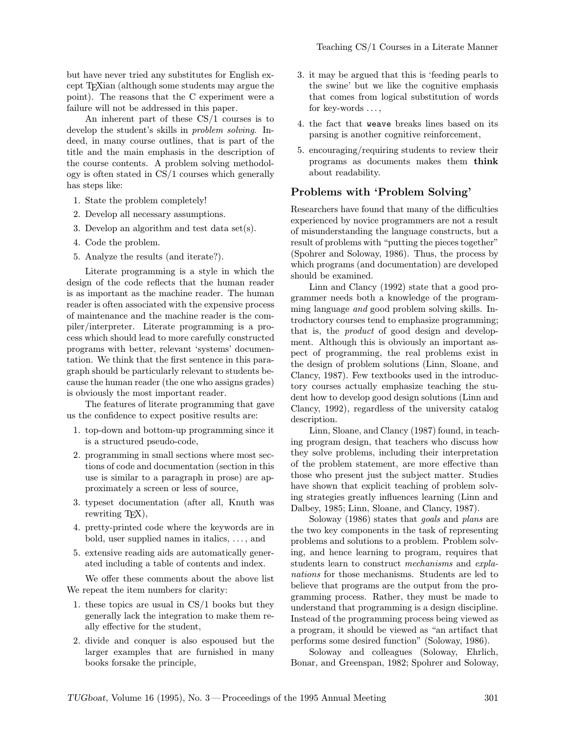but have never tried any substitutes for English except TEXian (although some students may argue the point). The reasons that the C experiment were a failure will not be addressed in this paper.

An inherent part of these CS/1 courses is to develop the student's skills in problem solving. Indeed, in many course outlines, that is part of the title and the main emphasis in the description of the course contents. A problem solving methodology is often stated in CS/1 courses which generally has steps like:

- 1. State the problem completely!
- 2. Develop all necessary assumptions.
- 3. Develop an algorithm and test data set(s).
- 4. Code the problem.
- 5. Analyze the results (and iterate?).

Literate programming is a style in which the design of the code reflects that the human reader is as important as the machine reader. The human reader is often associated with the expensive process of maintenance and the machine reader is the compiler/interpreter. Literate programming is a process which should lead to more carefully constructed programs with better, relevant 'systems' documentation. We think that the first sentence in this paragraph should be particularly relevant to students because the human reader (the one who assigns grades) is obviously the most important reader.

The features of literate programming that gave us the confidence to expect positive results are:

- 1. top-down and bottom-up programming since it is a structured pseudo-code,
- 2. programming in small sections where most sections of code and documentation (section in this use is similar to a paragraph in prose) are approximately a screen or less of source,
- 3. typeset documentation (after all, Knuth was rewriting T<sub>E</sub>X),
- 4. pretty-printed code where the keywords are in bold, user supplied names in italics, ..., and
- 5. extensive reading aids are automatically generated including a table of contents and index.

We offer these comments about the above list We repeat the item numbers for clarity:

- 1. these topics are usual in CS/1 books but they generally lack the integration to make them really effective for the student,
- 2. divide and conquer is also espoused but the larger examples that are furnished in many books forsake the principle,
- 3. it may be argued that this is 'feeding pearls to the swine' but we like the cognitive emphasis that comes from logical substitution of words for key-words ...,
- 4. the fact that weave breaks lines based on its parsing is another cognitive reinforcement,
- 5. encouraging/requiring students to review their programs as documents makes them think about readability.

#### Problems with 'Problem Solving'

Researchers have found that many of the difficulties experienced by novice programmers are not a result of misunderstanding the language constructs, but a result of problems with "putting the pieces together" (Spohrer and Soloway, 1986). Thus, the process by which programs (and documentation) are developed should be examined.

Linn and Clancy (1992) state that a good programmer needs both a knowledge of the programming language and good problem solving skills. Introductory courses tend to emphasize programming; that is, the product of good design and development. Although this is obviously an important aspect of programming, the real problems exist in the design of problem solutions (Linn, Sloane, and Clancy, 1987). Few textbooks used in the introductory courses actually emphasize teaching the student how to develop good design solutions (Linn and Clancy, 1992), regardless of the university catalog description.

Linn, Sloane, and Clancy (1987) found, in teaching program design, that teachers who discuss how they solve problems, including their interpretation of the problem statement, are more effective than those who present just the subject matter. Studies have shown that explicit teaching of problem solving strategies greatly influences learning (Linn and Dalbey, 1985; Linn, Sloane, and Clancy, 1987).

Soloway (1986) states that goals and plans are the two key components in the task of representing problems and solutions to a problem. Problem solving, and hence learning to program, requires that students learn to construct mechanisms and explanations for those mechanisms. Students are led to believe that programs are the output from the programming process. Rather, they must be made to understand that programming is a design discipline. Instead of the programming process being viewed as a program, it should be viewed as "an artifact that performs some desired function" (Soloway, 1986).

Soloway and colleagues (Soloway, Ehrlich, Bonar, and Greenspan, 1982; Spohrer and Soloway,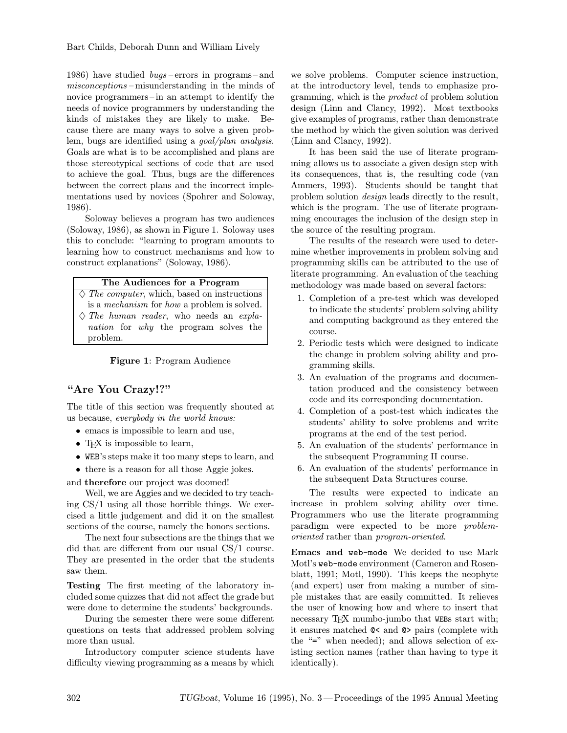1986) have studied bugs –errors in programs–and misconceptions –misunderstanding in the minds of novice programmers–in an attempt to identify the needs of novice programmers by understanding the kinds of mistakes they are likely to make. Because there are many ways to solve a given problem, bugs are identified using a goal/plan analysis. Goals are what is to be accomplished and plans are those stereotypical sections of code that are used to achieve the goal. Thus, bugs are the differences between the correct plans and the incorrect implementations used by novices (Spohrer and Soloway, 1986).

Soloway believes a program has two audiences (Soloway, 1986), as shown in Figure 1. Soloway uses this to conclude: "learning to program amounts to learning how to construct mechanisms and how to construct explanations" (Soloway, 1986).

#### The Audiences for a Program

 $\Diamond$  The computer, which, based on instructions is a mechanism for how a problem is solved.  $\Diamond$  The human reader, who needs an explanation for why the program solves the problem.

Figure 1: Program Audience

## "Are You Crazy!?"

The title of this section was frequently shouted at us because, everybody in the world knows:

- emacs is impossible to learn and use,
- TFX is impossible to learn,
- WEB's steps make it too many steps to learn, and

• there is a reason for all those Aggie jokes.

and therefore our project was doomed!

Well, we are Aggies and we decided to try teaching CS/1 using all those horrible things. We exercised a little judgement and did it on the smallest sections of the course, namely the honors sections.

The next four subsections are the things that we did that are different from our usual CS/1 course. They are presented in the order that the students saw them.

Testing The first meeting of the laboratory included some quizzes that did not affect the grade but were done to determine the students' backgrounds.

During the semester there were some different questions on tests that addressed problem solving more than usual.

Introductory computer science students have difficulty viewing programming as a means by which

we solve problems. Computer science instruction, at the introductory level, tends to emphasize programming, which is the product of problem solution design (Linn and Clancy, 1992). Most textbooks give examples of programs, rather than demonstrate the method by which the given solution was derived (Linn and Clancy, 1992).

It has been said the use of literate programming allows us to associate a given design step with its consequences, that is, the resulting code (van Ammers, 1993). Students should be taught that problem solution design leads directly to the result, which is the program. The use of literate programming encourages the inclusion of the design step in the source of the resulting program.

The results of the research were used to determine whether improvements in problem solving and programming skills can be attributed to the use of literate programming. An evaluation of the teaching methodology was made based on several factors:

- 1. Completion of a pre-test which was developed to indicate the students' problem solving ability and computing background as they entered the course.
- 2. Periodic tests which were designed to indicate the change in problem solving ability and programming skills.
- 3. An evaluation of the programs and documentation produced and the consistency between code and its corresponding documentation.
- 4. Completion of a post-test which indicates the students' ability to solve problems and write programs at the end of the test period.
- 5. An evaluation of the students' performance in the subsequent Programming II course.
- 6. An evaluation of the students' performance in the subsequent Data Structures course.

The results were expected to indicate an increase in problem solving ability over time. Programmers who use the literate programming paradigm were expected to be more problemoriented rather than program-oriented.

Emacs and web-mode We decided to use Mark Motl's web-mode environment (Cameron and Rosenblatt, 1991; Motl, 1990). This keeps the neophyte (and expert) user from making a number of simple mistakes that are easily committed. It relieves the user of knowing how and where to insert that necessary TFX mumbo-jumbo that WEBs start with; it ensures matched @< and @> pairs (complete with the "=" when needed); and allows selection of existing section names (rather than having to type it identically).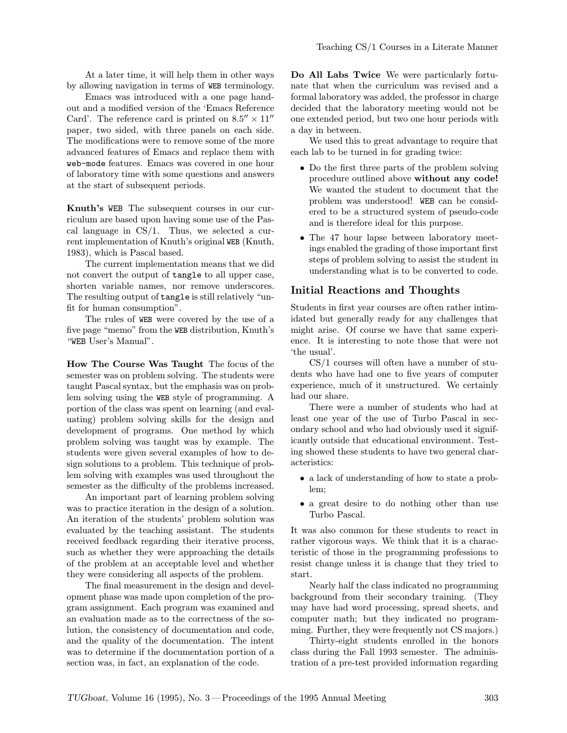At a later time, it will help them in other ways by allowing navigation in terms of WEB terminology.

Emacs was introduced with a one page handout and a modified version of the 'Emacs Reference Card'. The reference card is printed on  $8.5'' \times 11''$ paper, two sided, with three panels on each side. The modifications were to remove some of the more advanced features of Emacs and replace them with web-mode features. Emacs was covered in one hour of laboratory time with some questions and answers at the start of subsequent periods.

Knuth's WEB The subsequent courses in our curriculum are based upon having some use of the Pascal language in CS/1. Thus, we selected a current implementation of Knuth's original WEB (Knuth, 1983), which is Pascal based.

The current implementation means that we did not convert the output of tangle to all upper case, shorten variable names, nor remove underscores. The resulting output of tangle is still relatively "unfit for human consumption".

The rules of WEB were covered by the use of a five page "memo" from the WEB distribution, Knuth's "WEB User's Manual".

How The Course Was Taught The focus of the semester was on problem solving. The students were taught Pascal syntax, but the emphasis was on problem solving using the WEB style of programming. A portion of the class was spent on learning (and evaluating) problem solving skills for the design and development of programs. One method by which problem solving was taught was by example. The students were given several examples of how to design solutions to a problem. This technique of problem solving with examples was used throughout the semester as the difficulty of the problems increased.

An important part of learning problem solving was to practice iteration in the design of a solution. An iteration of the students' problem solution was evaluated by the teaching assistant. The students received feedback regarding their iterative process, such as whether they were approaching the details of the problem at an acceptable level and whether they were considering all aspects of the problem.

The final measurement in the design and development phase was made upon completion of the program assignment. Each program was examined and an evaluation made as to the correctness of the solution, the consistency of documentation and code, and the quality of the documentation. The intent was to determine if the documentation portion of a section was, in fact, an explanation of the code.

Do All Labs Twice We were particularly fortunate that when the curriculum was revised and a formal laboratory was added, the professor in charge decided that the laboratory meeting would not be one extended period, but two one hour periods with a day in between.

We used this to great advantage to require that each lab to be turned in for grading twice:

- Do the first three parts of the problem solving procedure outlined above without any code! We wanted the student to document that the problem was understood! WEB can be considered to be a structured system of pseudo-code and is therefore ideal for this purpose.
- The 47 hour lapse between laboratory meetings enabled the grading of those important first steps of problem solving to assist the student in understanding what is to be converted to code.

### Initial Reactions and Thoughts

Students in first year courses are often rather intimidated but generally ready for any challenges that might arise. Of course we have that same experience. It is interesting to note those that were not 'the usual'.

CS/1 courses will often have a number of students who have had one to five years of computer experience, much of it unstructured. We certainly had our share.

There were a number of students who had at least one year of the use of Turbo Pascal in secondary school and who had obviously used it significantly outside that educational environment. Testing showed these students to have two general characteristics:

- a lack of understanding of how to state a problem;
- a great desire to do nothing other than use Turbo Pascal.

It was also common for these students to react in rather vigorous ways. We think that it is a characteristic of those in the programming professions to resist change unless it is change that they tried to start.

Nearly half the class indicated no programming background from their secondary training. (They may have had word processing, spread sheets, and computer math; but they indicated no programming. Further, they were frequently not CS majors.)

Thirty-eight students enrolled in the honors class during the Fall 1993 semester. The administration of a pre-test provided information regarding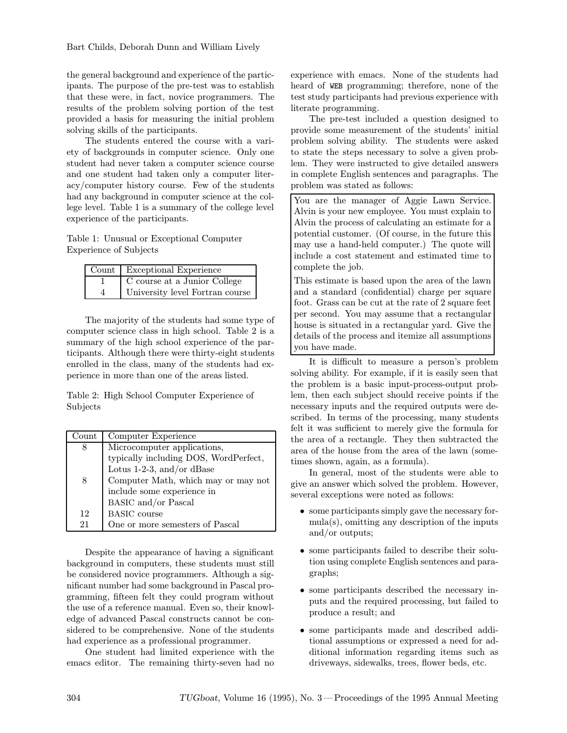the general background and experience of the participants. The purpose of the pre-test was to establish that these were, in fact, novice programmers. The results of the problem solving portion of the test provided a basis for measuring the initial problem solving skills of the participants.

The students entered the course with a variety of backgrounds in computer science. Only one student had never taken a computer science course and one student had taken only a computer literacy/computer history course. Few of the students had any background in computer science at the college level. Table 1 is a summary of the college level experience of the participants.

Table 1: Unusual or Exceptional Computer Experience of Subjects

|   | Count   Exceptional Experience  |
|---|---------------------------------|
|   | C course at a Junior College    |
| 4 | University level Fortran course |

The majority of the students had some type of computer science class in high school. Table 2 is a summary of the high school experience of the participants. Although there were thirty-eight students enrolled in the class, many of the students had experience in more than one of the areas listed.

Table 2: High School Computer Experience of Subjects

| $\operatorname{Count}$ | Computer Experience                   |  |  |  |
|------------------------|---------------------------------------|--|--|--|
| 8                      | Microcomputer applications,           |  |  |  |
|                        | typically including DOS, WordPerfect, |  |  |  |
|                        | Lotus 1-2-3, and/or dBase             |  |  |  |
| 8                      | Computer Math, which may or may not   |  |  |  |
|                        | include some experience in            |  |  |  |
|                        | <b>BASIC</b> and/or Pascal            |  |  |  |
| 12                     | <b>BASIC</b> course                   |  |  |  |
| 21                     | One or more semesters of Pascal       |  |  |  |

Despite the appearance of having a significant background in computers, these students must still be considered novice programmers. Although a significant number had some background in Pascal programming, fifteen felt they could program without the use of a reference manual. Even so, their knowledge of advanced Pascal constructs cannot be considered to be comprehensive. None of the students had experience as a professional programmer.

One student had limited experience with the emacs editor. The remaining thirty-seven had no experience with emacs. None of the students had heard of WEB programming; therefore, none of the test study participants had previous experience with literate programming.

The pre-test included a question designed to provide some measurement of the students' initial problem solving ability. The students were asked to state the steps necessary to solve a given problem. They were instructed to give detailed answers in complete English sentences and paragraphs. The problem was stated as follows:

You are the manager of Aggie Lawn Service. Alvin is your new employee. You must explain to Alvin the process of calculating an estimate for a potential customer. (Of course, in the future this may use a hand-held computer.) The quote will include a cost statement and estimated time to complete the job.

This estimate is based upon the area of the lawn and a standard (confidential) charge per square foot. Grass can be cut at the rate of 2 square feet per second. You may assume that a rectangular house is situated in a rectangular yard. Give the details of the process and itemize all assumptions you have made.

It is difficult to measure a person's problem solving ability. For example, if it is easily seen that the problem is a basic input-process-output problem, then each subject should receive points if the necessary inputs and the required outputs were described. In terms of the processing, many students felt it was sufficient to merely give the formula for the area of a rectangle. They then subtracted the area of the house from the area of the lawn (sometimes shown, again, as a formula).

In general, most of the students were able to give an answer which solved the problem. However, several exceptions were noted as follows:

- some participants simply gave the necessary formula(s), omitting any description of the inputs and/or outputs;
- some participants failed to describe their solution using complete English sentences and paragraphs;
- some participants described the necessary inputs and the required processing, but failed to produce a result; and
- some participants made and described additional assumptions or expressed a need for additional information regarding items such as driveways, sidewalks, trees, flower beds, etc.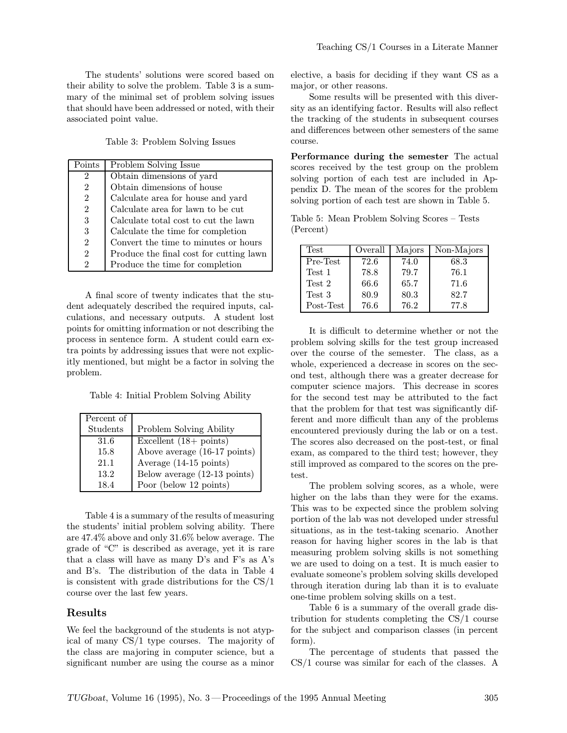The students' solutions were scored based on their ability to solve the problem. Table 3 is a summary of the minimal set of problem solving issues that should have been addressed or noted, with their associated point value.

Table 3: Problem Solving Issues

| Points         | Problem Solving Issue                   |
|----------------|-----------------------------------------|
| 2              | Obtain dimensions of yard               |
| $\overline{2}$ | Obtain dimensions of house              |
| $\overline{2}$ | Calculate area for house and yard       |
| $\overline{2}$ | Calculate area for lawn to be cut       |
| 3              | Calculate total cost to cut the lawn    |
| 3              | Calculate the time for completion       |
| $\overline{2}$ | Convert the time to minutes or hours    |
| $\overline{2}$ | Produce the final cost for cutting lawn |
| 2              | Produce the time for completion         |

A final score of twenty indicates that the student adequately described the required inputs, calculations, and necessary outputs. A student lost points for omitting information or not describing the process in sentence form. A student could earn extra points by addressing issues that were not explicitly mentioned, but might be a factor in solving the problem.

Table 4: Initial Problem Solving Ability

| Percent of |                                  |
|------------|----------------------------------|
| Students   | Problem Solving Ability          |
| 31.6       | Excellent $(18 + \text{points})$ |
| 15.8       | Above average (16-17 points)     |
| 21.1       | Average (14-15 points)           |
| 13.2       | Below average (12-13 points)     |
| 18.4       | Poor (below 12 points)           |

Table 4 is a summary of the results of measuring the students' initial problem solving ability. There are 47.4% above and only 31.6% below average. The grade of "C" is described as average, yet it is rare that a class will have as many D's and F's as A's and B's. The distribution of the data in Table 4 is consistent with grade distributions for the CS/1 course over the last few years.

#### Results

We feel the background of the students is not atypical of many CS/1 type courses. The majority of the class are majoring in computer science, but a significant number are using the course as a minor

elective, a basis for deciding if they want CS as a major, or other reasons.

Some results will be presented with this diversity as an identifying factor. Results will also reflect the tracking of the students in subsequent courses and differences between other semesters of the same course.

Performance during the semester The actual scores received by the test group on the problem solving portion of each test are included in Appendix D. The mean of the scores for the problem solving portion of each test are shown in Table 5.

Table 5: Mean Problem Solving Scores – Tests (Percent)

| <b>Test</b> | Overall | Majors | Non-Majors |
|-------------|---------|--------|------------|
| Pre-Test    | 72.6    | 74.0   | 68.3       |
| Test 1      | 78.8    | 79.7   | 76.1       |
| Test 2      | 66.6    | 65.7   | 71.6       |
| Test 3      | 80.9    | 80.3   | 82.7       |
| Post-Test   | 76.6    | 76.2   | 77.8       |

It is difficult to determine whether or not the problem solving skills for the test group increased over the course of the semester. The class, as a whole, experienced a decrease in scores on the second test, although there was a greater decrease for computer science majors. This decrease in scores for the second test may be attributed to the fact that the problem for that test was significantly different and more difficult than any of the problems encountered previously during the lab or on a test. The scores also decreased on the post-test, or final exam, as compared to the third test; however, they still improved as compared to the scores on the pretest.

The problem solving scores, as a whole, were higher on the labs than they were for the exams. This was to be expected since the problem solving portion of the lab was not developed under stressful situations, as in the test-taking scenario. Another reason for having higher scores in the lab is that measuring problem solving skills is not something we are used to doing on a test. It is much easier to evaluate someone's problem solving skills developed through iteration during lab than it is to evaluate one-time problem solving skills on a test.

Table 6 is a summary of the overall grade distribution for students completing the CS/1 course for the subject and comparison classes (in percent form).

The percentage of students that passed the CS/1 course was similar for each of the classes. A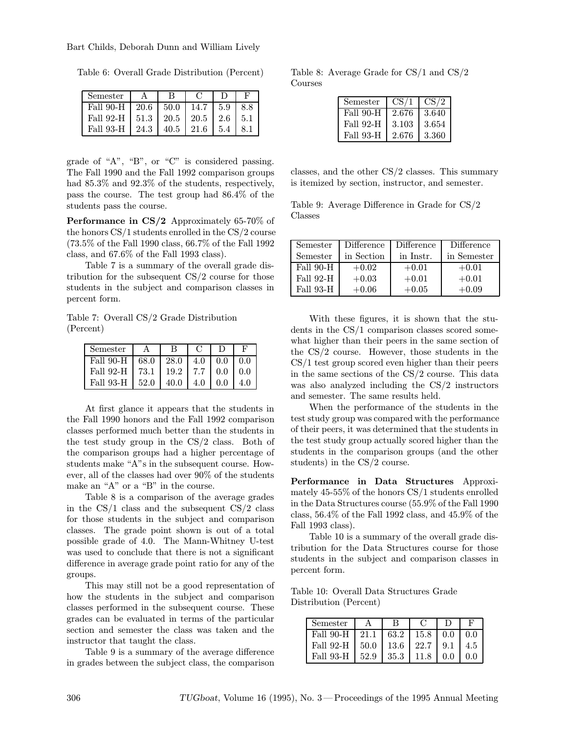Table 6: Overall Grade Distribution (Percent)

| ${\rm Semester}$ |      |                            |                    |       |     |
|------------------|------|----------------------------|--------------------|-------|-----|
| Fall 90-H        | 20.6 | 50.0                       | 14.7               | 1 5.9 | 8.8 |
| Fall 92-H        |      | $51.3$   20.5   20.5   2.6 |                    |       | 5.1 |
| Fall 93-H        | 24.3 | 40.5                       | $\mid$ 21.6 $\mid$ | 5.4   |     |

grade of "A", "B", or "C" is considered passing. The Fall 1990 and the Fall 1992 comparison groups had 85.3% and 92.3% of the students, respectively, pass the course. The test group had 86.4% of the students pass the course.

Performance in CS/2 Approximately 65-70% of the honors CS/1 students enrolled in the CS/2 course (73.5% of the Fall 1990 class, 66.7% of the Fall 1992 class, and 67.6% of the Fall 1993 class).

Table 7 is a summary of the overall grade distribution for the subsequent CS/2 course for those students in the subject and comparison classes in percent form.

Table 7: Overall CS/2 Grade Distribution (Percent)

| Semester  |      |      |     |     |     |
|-----------|------|------|-----|-----|-----|
| Fall 90-H | 68.0 | 28.0 | 4.0 | 0.0 | 0.0 |
| Fall 92-H | 73.1 | 19.2 | 7.7 | 0.0 | 0.0 |
| Fall 93-H | 52.0 | 40.0 | 4.0 | 0.0 |     |

At first glance it appears that the students in the Fall 1990 honors and the Fall 1992 comparison classes performed much better than the students in the test study group in the CS/2 class. Both of the comparison groups had a higher percentage of students make "A"s in the subsequent course. However, all of the classes had over 90% of the students make an "A" or a "B" in the course.

Table 8 is a comparison of the average grades in the  $CS/1$  class and the subsequent  $CS/2$  class for those students in the subject and comparison classes. The grade point shown is out of a total possible grade of 4.0. The Mann-Whitney U-test was used to conclude that there is not a significant difference in average grade point ratio for any of the groups.

This may still not be a good representation of how the students in the subject and comparison classes performed in the subsequent course. These grades can be evaluated in terms of the particular section and semester the class was taken and the instructor that taught the class.

Table 9 is a summary of the average difference in grades between the subject class, the comparison

Table 8: Average Grade for CS/1 and CS/2 Courses

| Semester         | CS/1  | CS/2  |
|------------------|-------|-------|
| Fall 90-H        | 2.676 | 3.640 |
| <b>Fall 92-H</b> | 3.103 | 3.654 |
| Fall 93-H        | 2.676 | 3.360 |

classes, and the other CS/2 classes. This summary is itemized by section, instructor, and semester.

Table 9: Average Difference in Grade for CS/2 Classes

| Semester  | Difference | Difference | Difference  |
|-----------|------------|------------|-------------|
| Semester  | in Section | in Instr.  | in Semester |
| Fall 90-H | $+0.02$    | $+0.01$    | $+0.01$     |
| Fall 92-H | $+0.03$    | $+0.01$    | $+0.01$     |
| Fall 93-H | $+0.06$    | $+0.05$    | $+0.09$     |

With these figures, it is shown that the students in the CS/1 comparison classes scored somewhat higher than their peers in the same section of the CS/2 course. However, those students in the CS/1 test group scored even higher than their peers in the same sections of the CS/2 course. This data was also analyzed including the CS/2 instructors and semester. The same results held.

When the performance of the students in the test study group was compared with the performance of their peers, it was determined that the students in the test study group actually scored higher than the students in the comparison groups (and the other students) in the CS/2 course.

Performance in Data Structures Approximately 45-55% of the honors CS/1 students enrolled in the Data Structures course (55.9% of the Fall 1990 class, 56.4% of the Fall 1992 class, and 45.9% of the Fall 1993 class).

Table 10 is a summary of the overall grade distribution for the Data Structures course for those students in the subject and comparison classes in percent form.

Table 10: Overall Data Structures Grade Distribution (Percent)

| Semester              |      |      |        |     | F   |
|-----------------------|------|------|--------|-----|-----|
| Fall 90-H             | 21.1 | 63.2 | 15.8   | 0.0 | 0.0 |
| Fall 92-H $\mid$ 50.0 |      | 13.6 | 22.7 L | 9.1 | 4.5 |
| Fall 93-H             | 52.9 | 35.3 | 11.8   | 0.0 | 0 Q |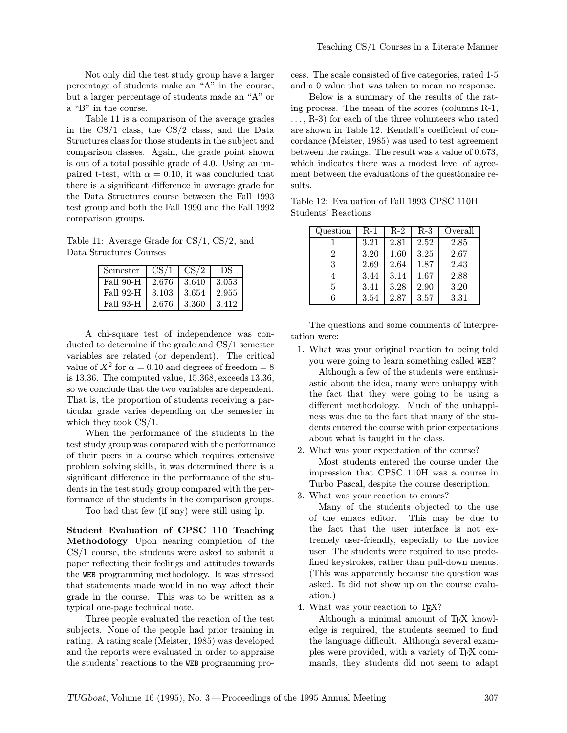Not only did the test study group have a larger percentage of students make an "A" in the course, but a larger percentage of students made an "A" or a "B" in the course.

Table 11 is a comparison of the average grades in the CS/1 class, the CS/2 class, and the Data Structures class for those students in the subject and comparison classes. Again, the grade point shown is out of a total possible grade of 4.0. Using an unpaired t-test, with  $\alpha = 0.10$ , it was concluded that there is a significant difference in average grade for the Data Structures course between the Fall 1993 test group and both the Fall 1990 and the Fall 1992 comparison groups.

Table 11: Average Grade for CS/1, CS/2, and Data Structures Courses

| Semester  | CS/1  | CS/2  | DS    |
|-----------|-------|-------|-------|
| Fall 90-H | 2.676 | 3.640 | 3.053 |
| Fall 92-H | 3.103 | 3.654 | 2.955 |
| Fall 93-H | 2.676 | 3.360 | 3.412 |

A chi-square test of independence was conducted to determine if the grade and CS/1 semester variables are related (or dependent). The critical value of  $X^2$  for  $\alpha = 0.10$  and degrees of freedom = 8 is 13.36. The computed value, 15.368, exceeds 13.36, so we conclude that the two variables are dependent. That is, the proportion of students receiving a particular grade varies depending on the semester in which they took CS/1.

When the performance of the students in the test study group was compared with the performance of their peers in a course which requires extensive problem solving skills, it was determined there is a significant difference in the performance of the students in the test study group compared with the performance of the students in the comparison groups.

Too bad that few (if any) were still using lp.

Student Evaluation of CPSC 110 Teaching Methodology Upon nearing completion of the CS/1 course, the students were asked to submit a paper reflecting their feelings and attitudes towards the WEB programming methodology. It was stressed that statements made would in no way affect their grade in the course. This was to be written as a typical one-page technical note.

Three people evaluated the reaction of the test subjects. None of the people had prior training in rating. A rating scale (Meister, 1985) was developed and the reports were evaluated in order to appraise the students' reactions to the WEB programming process. The scale consisted of five categories, rated 1-5 and a 0 value that was taken to mean no response.

Below is a summary of the results of the rating process. The mean of the scores (columns R-1, ..., R-3) for each of the three volunteers who rated are shown in Table 12. Kendall's coefficient of concordance (Meister, 1985) was used to test agreement between the ratings. The result was a value of 0.673, which indicates there was a modest level of agreement between the evaluations of the questionaire results.

Table 12: Evaluation of Fall 1993 CPSC 110H Students' Reactions

| Question       | $R-1$ | $R-2$ | $R-3$ | Overall |
|----------------|-------|-------|-------|---------|
|                | 3.21  | 2.81  | 2.52  | 2.85    |
| $\overline{2}$ | 3.20  | 1.60  | 3.25  | 2.67    |
| 3              | 2.69  | 2.64  | 1.87  | 2.43    |
|                | 3.44  | 3.14  | 1.67  | 2.88    |
| 5              | 3.41  | 3.28  | 2.90  | 3.20    |
|                | 3.54  | 2.87  | 3.57  | 3.31    |

The questions and some comments of interpretation were:

1. What was your original reaction to being told you were going to learn something called WEB?

Although a few of the students were enthusiastic about the idea, many were unhappy with the fact that they were going to be using a different methodology. Much of the unhappiness was due to the fact that many of the students entered the course with prior expectations about what is taught in the class.

2. What was your expectation of the course?

Most students entered the course under the impression that CPSC 110H was a course in Turbo Pascal, despite the course description.

3. What was your reaction to emacs?

Many of the students objected to the use of the emacs editor. This may be due to the fact that the user interface is not extremely user-friendly, especially to the novice user. The students were required to use predefined keystrokes, rather than pull-down menus. (This was apparently because the question was asked. It did not show up on the course evaluation.)

4. What was your reaction to TEX?

Although a minimal amount of TEX knowledge is required, the students seemed to find the language difficult. Although several examples were provided, with a variety of TEX commands, they students did not seem to adapt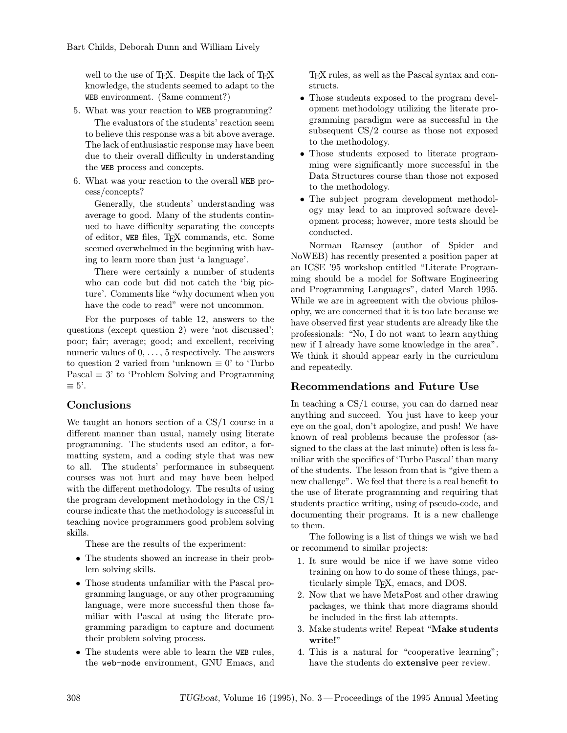well to the use of TEX. Despite the lack of TEX knowledge, the students seemed to adapt to the WEB environment. (Same comment?)

- 5. What was your reaction to WEB programming? The evaluators of the students' reaction seem to believe this response was a bit above average. The lack of enthusiastic response may have been due to their overall difficulty in understanding the WEB process and concepts.
- 6. What was your reaction to the overall WEB process/concepts?

Generally, the students' understanding was average to good. Many of the students continued to have difficulty separating the concepts of editor, WEB files, TEX commands, etc. Some seemed overwhelmed in the beginning with having to learn more than just 'a language'.

There were certainly a number of students who can code but did not catch the 'big picture'. Comments like "why document when you have the code to read" were not uncommon.

For the purposes of table 12, answers to the questions (except question 2) were 'not discussed'; poor; fair; average; good; and excellent, receiving numeric values of 0, ..., 5 respectively. The answers to question 2 varied from 'unknown  $\equiv 0$ ' to 'Turbo Pascal  $\equiv 3'$  to 'Problem Solving and Programming  $\equiv 5$ <sup>'</sup>.

## Conclusions

We taught an honors section of a CS/1 course in a different manner than usual, namely using literate programming. The students used an editor, a formatting system, and a coding style that was new to all. The students' performance in subsequent courses was not hurt and may have been helped with the different methodology. The results of using the program development methodology in the CS/1 course indicate that the methodology is successful in teaching novice programmers good problem solving skills.

These are the results of the experiment:

- The students showed an increase in their problem solving skills.
- Those students unfamiliar with the Pascal programming language, or any other programming language, were more successful then those familiar with Pascal at using the literate programming paradigm to capture and document their problem solving process.
- The students were able to learn the WEB rules, the web-mode environment, GNU Emacs, and

TEX rules, as well as the Pascal syntax and constructs.

- Those students exposed to the program development methodology utilizing the literate programming paradigm were as successful in the subsequent CS/2 course as those not exposed to the methodology.
- Those students exposed to literate programming were significantly more successful in the Data Structures course than those not exposed to the methodology.
- The subject program development methodology may lead to an improved software development process; however, more tests should be conducted.

Norman Ramsey (author of Spider and NoWEB) has recently presented a position paper at an ICSE '95 workshop entitled "Literate Programming should be a model for Software Engineering and Programming Languages", dated March 1995. While we are in agreement with the obvious philosophy, we are concerned that it is too late because we have observed first year students are already like the professionals: "No, I do not want to learn anything new if I already have some knowledge in the area". We think it should appear early in the curriculum and repeatedly.

# Recommendations and Future Use

In teaching a CS/1 course, you can do darned near anything and succeed. You just have to keep your eye on the goal, don't apologize, and push! We have known of real problems because the professor (assigned to the class at the last minute) often is less familiar with the specifics of 'Turbo Pascal' than many of the students. The lesson from that is "give them a new challenge". We feel that there is a real benefit to the use of literate programming and requiring that students practice writing, using of pseudo-code, and documenting their programs. It is a new challenge to them.

The following is a list of things we wish we had or recommend to similar projects:

- 1. It sure would be nice if we have some video training on how to do some of these things, particularly simple TEX, emacs, and DOS.
- 2. Now that we have MetaPost and other drawing packages, we think that more diagrams should be included in the first lab attempts.
- 3. Make students write! Repeat "Make students write!"
- 4. This is a natural for "cooperative learning"; have the students do extensive peer review.